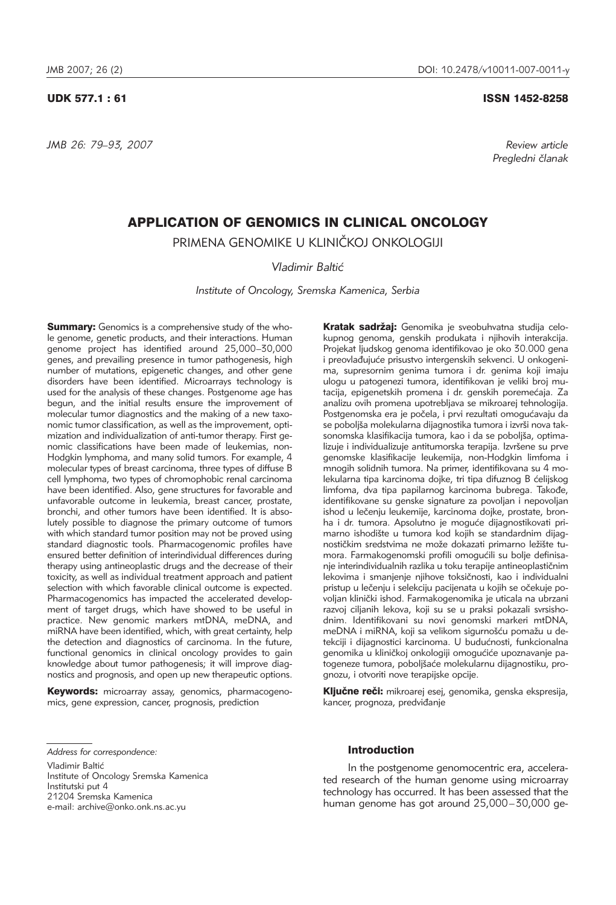*JMB 26: 79–93, 2007 Review article*

#### UDK 577.1 : 61 ISSN 1452-8258

*Pregledni ~lanak*

## APPLICATION OF GENOMICS IN CLINICAL ONCOLOGY

PRIMENA GENOMIKE U KLINIČKOJ ONKOLOGIJI

### *Vladimir Balti}*

*Institute of Oncology, Sremska Kamenica, Serbia*

**Summary:** Genomics is a comprehensive study of the whole genome, genetic products, and their interactions. Human genome project has identified around 25,000–30,000 genes, and prevailing presence in tumor pathogenesis, high number of mutations, epigenetic changes, and other gene disorders have been identified. Microarrays technology is used for the analysis of these changes. Postgenome age has begun, and the initial results ensure the improvement of molecular tumor diagnostics and the making of a new taxonomic tumor classification, as well as the improvement, optimization and individualization of anti-tumor therapy. First genomic classifications have been made of leukemias, non-Hodgkin lymphoma, and many solid tumors. For example, 4 molecular types of breast carcinoma, three types of diffuse B cell lymphoma, two types of chromophobic renal carcinoma have been identified. Also, gene structures for favorable and unfavorable outcome in leukemia, breast cancer, prostate, bronchi, and other tumors have been identified. It is absolutely possible to diagnose the primary outcome of tumors with which standard tumor position may not be proved using standard diagnostic tools. Pharmacogenomic profiles have ensured better definition of interindividual differences during therapy using antineoplastic drugs and the decrease of their toxicity, as well as individual treatment approach and patient selection with which favorable clinical outcome is expected. Pharmacogenomics has impacted the accelerated development of target drugs, which have showed to be useful in practice. New genomic markers mtDNA, meDNA, and miRNA have been identified, which, with great certainty, help the detection and diagnostics of carcinoma. In the future, functional genomics in clinical oncology provides to gain knowledge about tumor pathogenesis; it will improve diagnostics and prognosis, and open up new therapeutic options.

Keywords: microarray assay, genomics, pharmacogenomics, gene expression, cancer, prognosis, prediction

Kratak sadržaj: Genomika je sveobuhvatna studija celokupnog genoma, genskih produkata i njihovih interakcija. Projekat ljudskog genoma identifikovao je oko 30.000 gena i preovlađujuće prisustvo intergenskih sekvenci. U onkogenima, supresornim genima tumora i dr. genima koji imaju ulogu u patogenezi tumora, identifikovan je veliki broj mutacija, epigenetskih promena i dr. genskih poremećaja. Za analizu ovih promena upotrebljava se mikroarej tehnologija. Postgenomska era je počela, i prvi rezultati omogućavaju da se poboljša molekularna dijagnostika tumora i izvrši nova taksonomska klasifikacija tumora, kao i da se poboljša, optimalizuje i individualizuje antitumorska terapija. Izvršene su prve genomske klasifikacije leukemija, non-Hodgkin limfoma i mnogih solidnih tumora. Na primer, identifikovana su 4 molekularna tipa karcinoma dojke, tri tipa difuznog B ćelijskog limfoma, dva tipa papilarnog karcinoma bubrega. Takođe, identifikovane su genske signature za povoljan i nepovoljan ishod u lečenju leukemije, karcinoma dojke, prostate, bronha i dr. tumora. Apsolutno je moguće dijagnostikovati primarno ishodište u tumora kod kojih se standardnim dijagnostičkim sredstvima ne može dokazati primarno ležište tumora. Farmakogenomski profili omogućili su bolje definisanje interindividualnih razlika u toku terapije antineoplastičnim lekovima i smanjenje njihove toksičnosti, kao i individualni pristup u lečenju i selekciju pacijenata u kojih se očekuje povoljan klinički ishod. Farmakogenomika je uticala na ubrzani razvoj ciljanih lekova, koji su se u praksi pokazali svrsishodnim. Identifikovani su novi genomski markeri mtDNA, meDNA i miRNA, koji sa velikom sigurnošću pomažu u detekciji i dijagnostici karcinoma. U budućnosti, funkcionalna genomika u kliničkoj onkologiji omogućiće upoznavanje patogeneze tumora, poboljšaće molekularnu dijagnostiku, prognozu, i otvoriti nove terapijske opcije.

Ključne reči: mikroarej esej, genomika, genska ekspresija, kancer, prognoza, predviđanje

Vladimir Baltić Institute of Oncology Sremska Kamenica Institutski put 4 21204 Sremska Kamenica e-mail: archive@onko.onk.ns.ac.yu

#### Introduction

In the postgenome genomocentric era, accelerated research of the human genome using microarray technology has occurred. It has been assessed that the human genome has got around 25,000–30,000 ge-

*Address for correspondence:*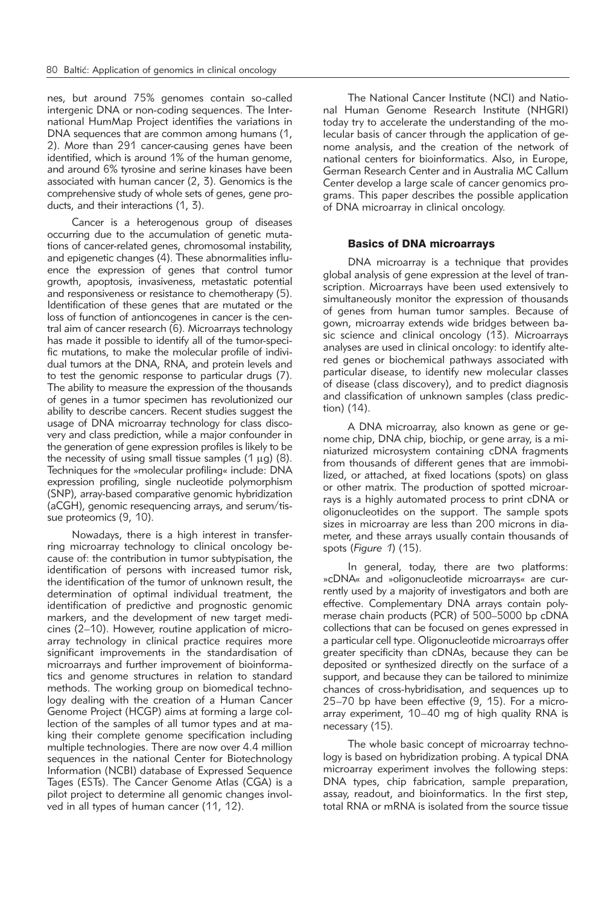nes, but around 75% genomes contain so-called intergenic DNA or non-coding sequences. The International HumMap Project identifies the variations in DNA sequences that are common among humans (1, 2). More than 291 cancer-causing genes have been identified, which is around 1% of the human genome, and around 6% tyrosine and serine kinases have been associated with human cancer (2, 3). Genomics is the comprehensive study of whole sets of genes, gene products, and their interactions (1, 3).

Cancer is a heterogenous group of diseases occurring due to the accumulation of genetic mutations of cancer-related genes, chromosomal instability, and epigenetic changes (4). These abnormalities influence the expression of genes that control tumor growth, apoptosis, invasiveness, metastatic potential and responsiveness or resistance to chemotherapy (5). Identification of these genes that are mutated or the loss of function of antioncogenes in cancer is the central aim of cancer research (6). Microarrays technology has made it possible to identify all of the tumor-specific mutations, to make the molecular profile of individual tumors at the DNA, RNA, and protein levels and to test the genomic response to particular drugs (7). The ability to measure the expression of the thousands of genes in a tumor specimen has revolutionized our ability to describe cancers. Recent studies suggest the usage of DNA microarray technology for class discovery and class prediction, while a major confounder in the generation of gene expression profiles is likely to be the necessity of using small tissue samples  $(1 \text{ ua})$   $(8)$ . Techniques for the »molecular profiling« include: DNA expression profiling, single nucleotide polymorphism (SNP), array-based comparative genomic hybridization (aCGH), genomic resequencing arrays, and serum/tissue proteomics (9, 10).

Nowadays, there is a high interest in transferring microarray technology to clinical oncology because of: the contribution in tumor subtypisation, the identification of persons with increased tumor risk, the identification of the tumor of unknown result, the determination of optimal individual treatment, the identification of predictive and prognostic genomic markers, and the development of new target medicines (2–10). However, routine application of microarray technology in clinical practice requires more significant improvements in the standardisation of microarrays and further improvement of bioinformatics and genome structures in relation to standard methods. The working group on biomedical technology dealing with the creation of a Human Cancer Genome Project (HCGP) aims at forming a large collection of the samples of all tumor types and at making their complete genome specification including multiple technologies. There are now over 4.4 million sequences in the national Center for Biotechnology Information (NCBI) database of Expressed Sequence Tages (ESTs). The Cancer Genome Atlas (CGA) is a pilot project to determine all genomic changes involved in all types of human cancer (11, 12).

The National Cancer Institute (NCI) and National Human Genome Research Institute (NHGRI) today try to accelerate the understanding of the molecular basis of cancer through the application of genome analysis, and the creation of the network of national centers for bioinformatics. Also, in Europe, German Research Center and in Australia MC Callum Center develop a large scale of cancer genomics programs. This paper describes the possible application of DNA microarray in clinical oncology.

#### Basics of DNA microarrays

DNA microarray is a technique that provides global analysis of gene expression at the level of transcription. Microarrays have been used extensively to simultaneously monitor the expression of thousands of genes from human tumor samples. Because of gown, microarray extends wide bridges between basic science and clinical oncology (13). Microarrays analyses are used in clinical oncology: to identify altered genes or biochemical pathways associated with particular disease, to identify new molecular classes of disease (class discovery), and to predict diagnosis and classification of unknown samples (class prediction) (14).

A DNA microarray, also known as gene or genome chip, DNA chip, biochip, or gene array, is a miniaturized microsystem containing cDNA fragments from thousands of different genes that are immobilized, or attached, at fixed locations (spots) on glass or other matrix. The production of spotted microarrays is a highly automated process to print cDNA or oligonucleotides on the support. The sample spots sizes in microarray are less than 200 microns in diameter, and these arrays usually contain thousands of spots (*Figure 1*) (15).

In general, today, there are two platforms: »cDNA« and »oligonucleotide microarrays« are currently used by a majority of investigators and both are effective. Complementary DNA arrays contain polymerase chain products (PCR) of 500–5000 bp cDNA collections that can be focused on genes expressed in a particular cell type. Oligonucleotide microarrays offer greater specificity than cDNAs, because they can be deposited or synthesized directly on the surface of a support, and because they can be tailored to minimize chances of cross-hybridisation, and sequences up to 25–70 bp have been effective (9, 15). For a microarray experiment, 10–40 mg of high quality RNA is necessary (15).

The whole basic concept of microarray technology is based on hybridization probing. A typical DNA microarray experiment involves the following steps: DNA types, chip fabrication, sample preparation, assay, readout, and bioinformatics. In the first step, total RNA or mRNA is isolated from the source tissue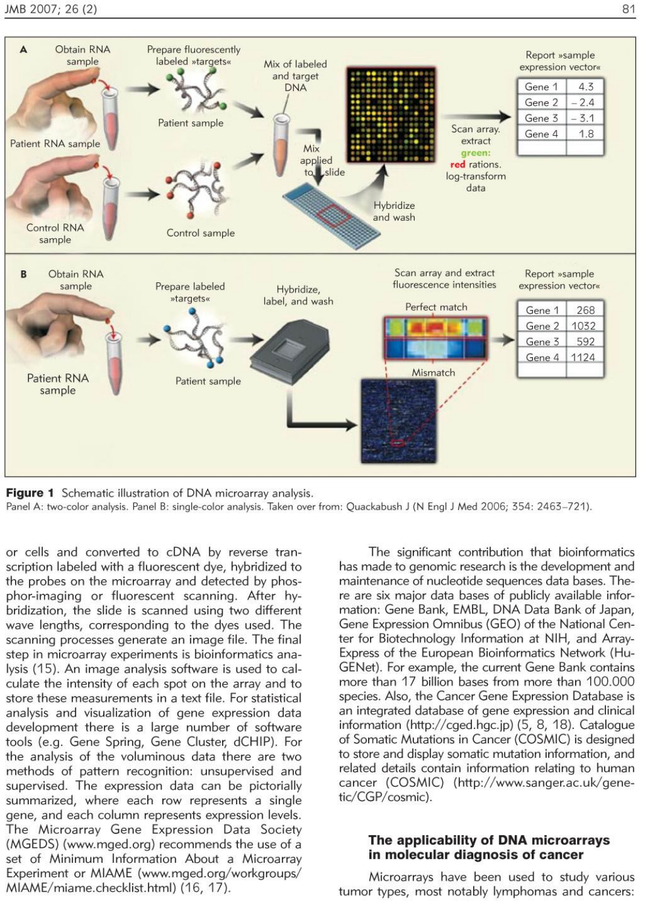

Figure 1 Schematic illustration of DNA microarray analysis.

Panel A: two-color analysis. Panel B: single-color analysis. Taken over from: Quackabush J (N Engl J Med 2006; 354: 2463-721).

or cells and converted to cDNA by reverse transcription labeled with a fluorescent dye, hybridized to the probes on the microarray and detected by phosphor-imaging or fluorescent scanning. After hybridization, the slide is scanned using two different wave lengths, corresponding to the dyes used. The scanning processes generate an image file. The final step in microarray experiments is bioinformatics analysis (15). An image analysis software is used to calculate the intensity of each spot on the array and to store these measurements in a text file. For statistical analysis and visualization of gene expression data development there is a large number of software tools (e.g. Gene Spring, Gene Cluster, dCHIP). For the analysis of the voluminous data there are two methods of pattern recognition: unsupervised and supervised. The expression data can be pictorially summarized, where each row represents a single gene, and each column represents expression levels. The Microarray Gene Expression Data Society (MGEDS) (www.mged.org) recommends the use of a set of Minimum Information About a Microarray Experiment or MIAME (www.mged.org/workgroups/ MIAME/miame.checklist.html) (16, 17).

The significant contribution that bioinformatics has made to genomic research is the development and maintenance of nucleotide sequences data bases. There are six major data bases of publicly available information: Gene Bank, EMBL, DNA Data Bank of Japan, Gene Expression Omnibus (GEO) of the National Center for Biotechnology Information at NIH, and Array-Express of the European Bioinformatics Network (Hu-GENet). For example, the current Gene Bank contains more than 17 billion bases from more than 100.000 species. Also, the Cancer Gene Expression Database is an integrated database of gene expression and clinical information (http://cged.hgc.jp) (5, 8, 18). Catalogue of Somatic Mutations in Cancer (COSMIC) is designed to store and display somatic mutation information, and related details contain information relating to human cancer (COSMIC) (http://www.sanger.ac.uk/genetic/CGP/cosmic).

# The applicability of DNA microarrays in molecular diagnosis of cancer

Microarrays have been used to study various tumor types, most notably lymphomas and cancers: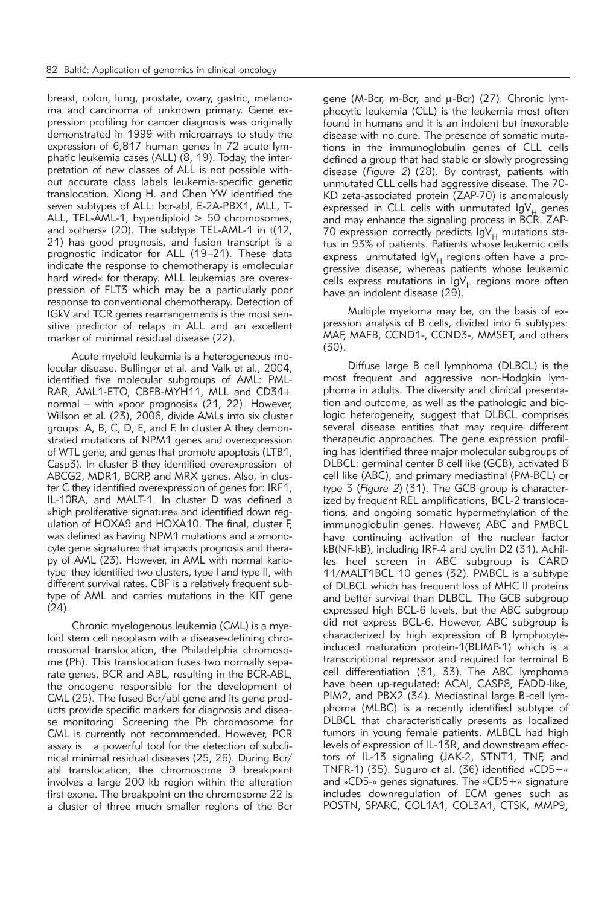breast, colon, lung, prostate, ovary, gastric, melanoma and carcinoma of unknown primary. Gene expression profiling for cancer diagnosis was originally demonstrated in 1999 with microarrays to study the expression of 6,817 human genes in 72 acute lymphatic leukemia cases (ALL) (8, 19). Today, the interpretation of new classes of ALL is not possible without accurate class labels leukemia-specific genetic translocation. Xiong H. and Chen YW identified the seven subtypes of ALL: bcr-abl, E-2A-PBX1, MLL, T-ALL, TEL-AML-1, hyperdiploid > 50 chromosomes, and »others« (20). The subtype TEL-AML-1 in t(12, 21) has good prognosis, and fusion transcript is a prognostic indicator for ALL (19–21). These data indicate the response to chemotherapy is »molecular hard wired« for therapy. MLL leukemias are overexpression of FLT3 which may be a particularly poor response to conventional chemotherapy. Detection of IGkV and TCR genes rearrangements is the most sensitive predictor of relaps in ALL and an excellent marker of minimal residual disease (22).

Acute myeloid leukemia is a heterogeneous molecular disease. Bullinger et al. and Valk et al., 2004, identified five molecular subgroups of AML: PML-RAR, AML1-ETO, CBFB-MYH11, MLL and CD34+ normal – with »poor prognosis« (21, 22). However, Willson et al. (23), 2006, divide AMLs into six cluster groups: A, B, C, D, E, and F. In cluster A they demonstrated mutations of NPM1 genes and overexpression of WTL gene, and genes that promote apoptosis (LTB1, Casp3). In cluster B they identified overexpression of ABCG2, MDR1, BCRP, and MRX genes. Also, in cluster C they identified overexpression of genes for: IRF1, IL-10RA, and MALT-1. In cluster D was defined a »high proliferative signature« and identified down regulation of HOXA9 and HOXA10. The final, cluster F, was defined as having NPM1 mutations and a »monocyte gene signature« that impacts prognosis and therapy of AML (23). However, in AML with normal kariotype they identified two clusters, type I and type II, with different survival rates. CBF is a relatively frequent subtype of AML and carries mutations in the KIT gene  $(24)$ .

Chronic myelogenous leukemia (CML) is a myeloid stem cell neoplasm with a disease-defining chromosomal translocation, the Philadelphia chromosome (Ph). This translocation fuses two normally separate genes, BCR and ABL, resulting in the BCR-ABL, the oncogene responsible for the development of CML (25). The fused Bcr/abl gene and its gene products provide specific markers for diagnosis and disease monitoring. Screening the Ph chromosome for CML is currently not recommended. However, PCR assay is a powerful tool for the detection of subclinical minimal residual diseases (25, 26). During Bcr/ abl translocation, the chromosome 9 breakpoint involves a large 200 kb region within the alteration first exone. The breakpoint on the chromosome 22 is a cluster of three much smaller regions of the Bcr

gene (M-Bcr, m-Bcr, and  $\mu$ -Bcr) (27). Chronic lymphocytic leukemia (CLL) is the leukemia most often found in humans and it is an indolent but inexorable disease with no cure. The presence of somatic mutations in the immunoglobulin genes of CLL cells defined a group that had stable or slowly progressing disease (*Figure 2*) (28). By contrast, patients with unmutated CLL cells had aggressive disease. The 70- KD zeta-associated protein (ZAP-70) is anomalously expressed in CLL cells with unmutated  $lgV_H$  genes and may enhance the signaling process in BCR. ZAP-70 expression correctly predicts  $IgV_H$  mutations status in 93% of patients. Patients whose leukemic cells express unmutated  $lgV_H$  regions often have a progressive disease, whereas patients whose leukemic cells express mutations in  $\lg V_H$  regions more often have an indolent disease (29).

Multiple myeloma may be, on the basis of expression analysis of B cells, divided into 6 subtypes: MAF, MAFB, CCND1-, CCND3-, MMSET, and others (30).

Diffuse large B cell lymphoma (DLBCL) is the most frequent and aggressive non-Hodgkin lymphoma in adults. The diversity and clinical presentation and outcome, as well as the pathologic and biologic heterogeneity, suggest that DLBCL comprises several disease entities that may require different therapeutic approaches. The gene expression profiling has identified three major molecular subgroups of DLBCL: germinal center B cell like (GCB), activated B cell like (ABC), and primary mediastinal (PM-BCL) or type 3 (*Figure 2*) (31). The GCB group is characterized by frequent REL amplifications, BCL-2 translocations, and ongoing somatic hypermethylation of the immunoglobulin genes. However, ABC and PMBCL have continuing activation of the nuclear factor kB(NF-kB), including IRF-4 and cyclin D2 (31). Achilles heel screen in ABC subgroup is CARD 11/MALT1BCL 10 genes (32). PMBCL is a subtype of DLBCL which has frequent loss of MHC II proteins and better survival than DLBCL. The GCB subgroup expressed high BCL-6 levels, but the ABC subgroup did not express BCL-6. However, ABC subgroup is characterized by high expression of B lymphocyteinduced maturation protein-1(BLIMP-1) which is a transcriptional repressor and required for terminal B cell differentiation (31, 33). The ABC lymphoma have been up-regulated: ACAI, CASP8, FADD-like, PIM2, and PBX2 (34). Mediastinal large B-cell lymphoma (MLBC) is a recently identified subtype of DLBCL that characteristically presents as localized tumors in young female patients. MLBCL had high levels of expression of IL-13R, and downstream effectors of IL-13 signaling (JAK-2, STNT1, TNF, and TNFR-1) (35). Suguro et al. (36) identified »CD5+« and »CD5-« genes signatures. The »CD5+« signature includes downregulation of ECM genes such as POSTN, SPARC, COL1A1, COL3A1, CTSK, MMP9,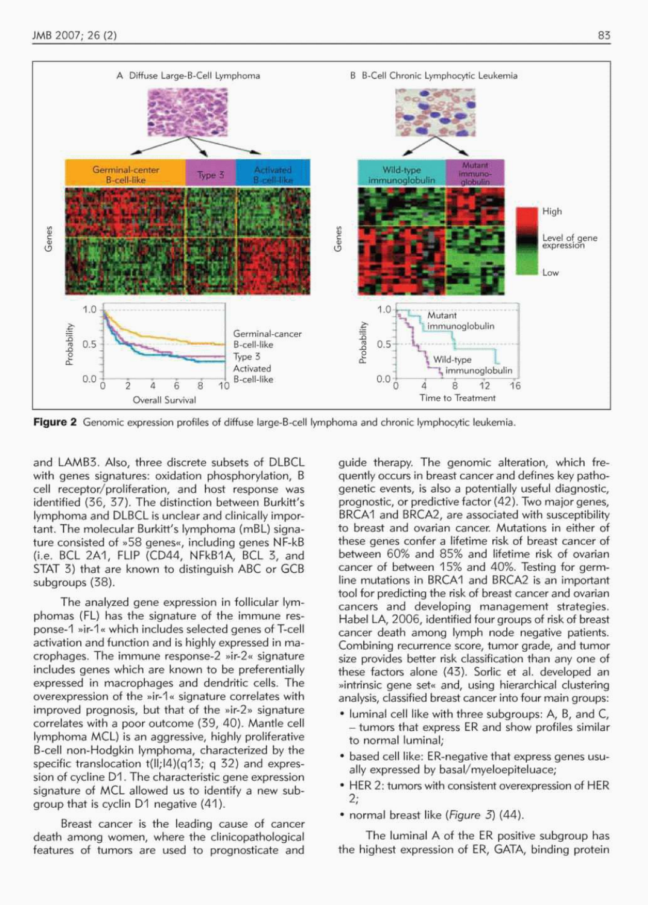

Figure 2 Genomic expression profiles of diffuse large-B-cell lymphoma and chronic lymphocytic leukemia.

and LAMB3. Also, three discrete subsets of DLBCL with genes signatures: oxidation phosphorylation, B cell receptor/proliferation, and host response was identified (36, 37). The distinction between Burkitt's lymphoma and DLBCL is unclear and clinically important. The molecular Burkitt's lymphoma (mBL) signature consisted of »58 genes«, including genes NF-kB (i.e. BCL 2A1, FLIP (CD44, NFkB1A, BCL 3, and

guide therapy. The genomic alteration, which frequently occurs in breast cancer and defines key pathogenetic events, is also a potentially useful diagnostic, prognostic, or predictive factor (42). Two major genes, BRCA1 and BRCA2, are associated with susceptibility to breast and ovarian cancer. Mutations in either of these genes confer a lifetime risk of breast cancer of between 60% and 85% and lifetime risk of ovarian cancer of between 15% and 40%. Testing for germline mutations in BRCA1 and BRCA2 is an important tool for predicting the risk of breast cancer and ovarian cancers and developing management strategies. Habel LA, 2006, identified four groups of risk of breast cancer death among lymph node negative patients. Combining recurrence score, tumor grade, and tumor size provides better risk classification than any one of these factors alone (43). Sorlic et al. developed an »intrinsic gene set« and, using hierarchical clustering analysis, classified breast cancer into four main groups:

STAT 3) that are known to distinguish ABC or GCB subgroups (38).

The analyzed gene expression in follicular lymphomas (FL) has the signature of the immune response-1 »ir-1« which includes selected genes of T-cell activation and function and is highly expressed in macrophages. The immune response-2 »ir-2« signature includes genes which are known to be preferentially expressed in macrophages and dendritic cells. The overexpression of the »ir-1« signature correlates with improved prognosis, but that of the »ir-2» signature correlates with a poor outcome (39, 40). Mantle cell lymphoma MCL) is an aggressive, highly proliferative B-cell non-Hodgkin lymphoma, characterized by the specific translocation  $t(11;14)(q13; q 32)$  and expression of cycline D1. The characteristic gene expression signature of MCL allowed us to identify a new subgroup that is cyclin D1 negative (41).

Breast cancer is the leading cause of cancer death among women, where the clinicopathological features of tumors are used to prognosticate and

- . luminal cell like with three subgroups: A, B, and C, - tumors that express ER and show profiles similar to normal luminal;
- based cell like: ER-negative that express genes usually expressed by basal/myeloepiteluace;
- HER 2: tumors with consistent overexpression of HER  $2:$
- normal breast like (Figure 3) (44).

The luminal A of the ER positive subgroup has the highest expression of ER, GATA, binding protein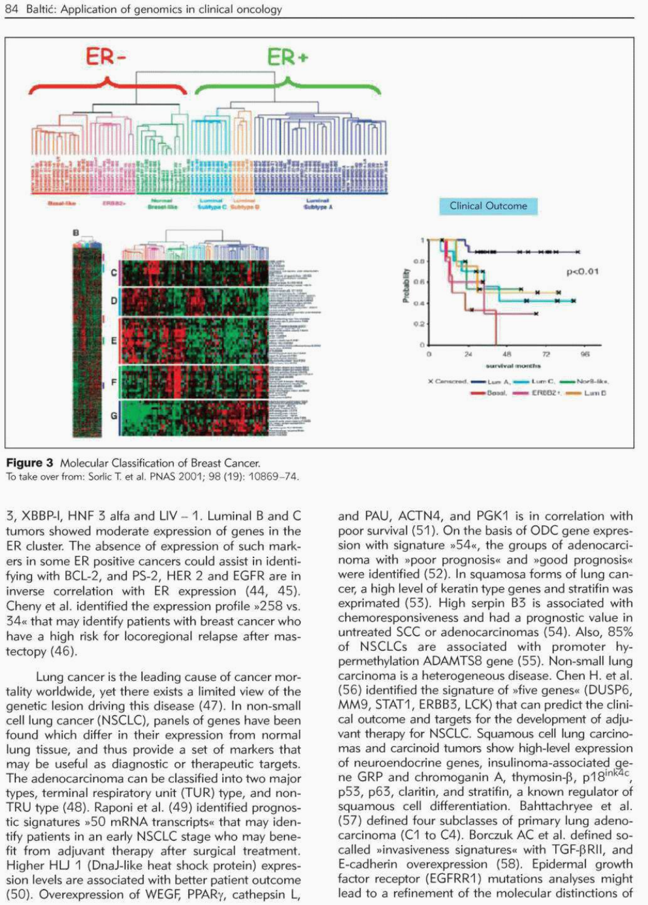

Figure 3 Molecular Classification of Breast Cancer. To take over from: Sorlic T. et al. PNAS 2001; 98 (19): 10869-74.

3, XBBP-I, HNF 3 alfa and LIV - 1. Luminal B and C tumors showed moderate expression of genes in the ER cluster. The absence of expression of such markers in some ER positive cancers could assist in identifying with BCL-2, and PS-2, HER 2 and EGFR are in inverse correlation with ER expression (44, 45). Cheny et al. identified the expression profile »258 vs. 34« that may identify patients with breast cancer who have a high risk for locoregional relapse after mastectopy  $(46)$ .

and PAU, ACTN4, and PGK1 is in correlation with poor survival (51). On the basis of ODC gene expression with signature »54«, the groups of adenocarcinoma with »poor prognosis« and »good prognosis« were identified (52). In squamosa forms of lung cancer, a high level of keratin type genes and stratifin was exprimated (53). High serpin B3 is associated with chemoresponsiveness and had a prognostic value in untreated SCC or adenocarcinomas (54). Also, 85% of NSCLCs are associated with promoter hypermethylation ADAMTS8 gene (55). Non-small lung carcinoma is a heterogeneous disease. Chen H. et al. (56) identified the signature of »five genes« (DUSP6, MM9, STAT1, ERBB3, LCK) that can predict the clinical outcome and targets for the development of adjuvant therapy for NSCLC. Squamous cell lung carcinomas and carcinoid tumors show high-level expression of neuroendocrine genes, insulinoma-associated gene GRP and chromoganin A, thymosin-β, p18ink4c p53, p63, claritin, and stratifin, a known regulator of squamous cell differentiation. Bahttachryee et al. (57) defined four subclasses of primary lung adenocarcinoma (C1 to C4). Borczuk AC et al. defined socalled »invasiveness signatures« with  $TGF- $\beta$ RII, and$ E-cadherin overexpression (58). Epidermal growth factor receptor (EGFRR1) mutations analyses might lead to a refinement of the molecular distinctions of

Lung cancer is the leading cause of cancer mortality worldwide, yet there exists a limited view of the genetic lesion driving this disease (47). In non-small cell lung cancer (NSCLC), panels of genes have been found which differ in their expression from normal lung tissue, and thus provide a set of markers that may be useful as diagnostic or therapeutic targets. The adenocarcinoma can be classified into two major types, terminal respiratory unit (TUR) type, and non-TRU type (48). Raponi et al. (49) identified prognostic signatures »50 mRNA transcripts« that may identify patients in an early NSCLC stage who may benefit from adjuvant therapy after surgical treatment. Higher HLJ 1 (DnaJ-like heat shock protein) expression levels are associated with better patient outcome (50). Overexpression of WEGF, PPARy, cathepsin L,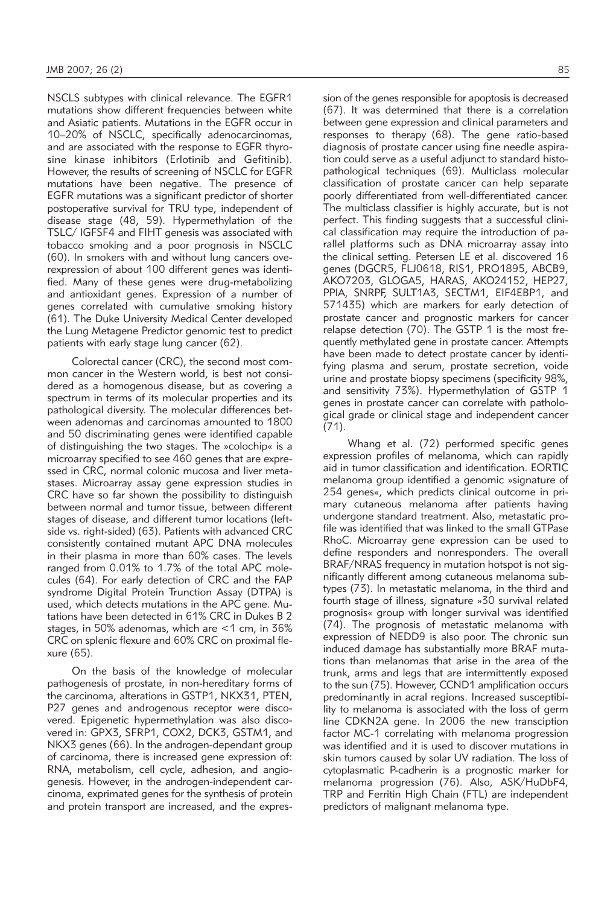NSCLS subtypes with clinical relevance. The EGFR1 mutations show different frequencies between white and Asiatic patients. Mutations in the EGFR occur in 10–20% of NSCLC, specifically adenocarcinomas, and are associated with the response to EGFR thyrosine kinase inhibitors (Erlotinib and Gefitinib). However, the results of screening of NSCLC for EGFR mutations have been negative. The presence of EGFR mutations was a significant predictor of shorter postoperative survival for TRU type, independent of disease stage (48, 59). Hypermethylation of the TSLC/ IGFSF4 and FIHT genesis was associated with tobacco smoking and a poor prognosis in NSCLC (60). In smokers with and without lung cancers overexpression of about 100 different genes was identified. Many of these genes were drug-metabolizing and antioxidant genes. Expression of a number of genes correlated with cumulative smoking history (61). The Duke University Medical Center developed the Lung Metagene Predictor genomic test to predict patients with early stage lung cancer (62).

Colorectal cancer (CRC), the second most common cancer in the Western world, is best not considered as a homogenous disease, but as covering a spectrum in terms of its molecular properties and its pathological diversity. The molecular differences between adenomas and carcinomas amounted to 1800 and 50 discriminating genes were identified capable of distinguishing the two stages. The »colochip« is a microarray specified to see 460 genes that are expressed in CRC, normal colonic mucosa and liver metastases. Microarray assay gene expression studies in CRC have so far shown the possibility to distinguish between normal and tumor tissue, between different stages of disease, and different tumor locations (leftside vs. right-sided) (63). Patients with advanced CRC consistently contained mutant APC DNA molecules in their plasma in more than 60% cases. The levels ranged from 0.01% to 1.7% of the total APC molecules (64). For early detection of CRC and the FAP syndrome Digital Protein Trunction Assay (DTPA) is used, which detects mutations in the APC gene. Mutations have been detected in 61% CRC in Dukes B 2 stages, in 50% adenomas, which are  $<$ 1 cm, in 36% CRC on splenic flexure and 60% CRC on proximal flexure (65).

On the basis of the knowledge of molecular pathogenesis of prostate, in non-hereditary forms of the carcinoma, alterations in GSTP1, NKX31, PTEN, P27 genes and androgenous receptor were discovered. Epigenetic hypermethylation was also discovered in: GPX3, SFRP1, COX2, DCK3, GSTM1, and NKX3 genes (66). In the androgen-dependant group of carcinoma, there is increased gene expression of: RNA, metabolism, cell cycle, adhesion, and angiogenesis. However, in the androgen-independent carcinoma, exprimated genes for the synthesis of protein and protein transport are increased, and the expres-

sion of the genes responsible for apoptosis is decreased (67). It was determined that there is a correlation between gene expression and clinical parameters and responses to therapy (68). The gene ratio-based diagnosis of prostate cancer using fine needle aspiration could serve as a useful adjunct to standard histopathological techniques (69). Multiclass molecular classification of prostate cancer can help separate poorly differentiated from well-differentiated cancer. The multiclass classifier is highly accurate, but is not perfect. This finding suggests that a successful clinical classification may require the introduction of parallel platforms such as DNA microarray assay into the clinical setting. Petersen LE et al. discovered 16 genes (DGCR5, FLJ0618, RIS1, PRO1895, ABCB9, AKO7203, GLOGA5, HARAS, AKO24152, HEP27, PPIA, SNRPF, SULT1A3, SECTM1, EIF4EBP1, and 571435) which are markers for early detection of prostate cancer and prognostic markers for cancer relapse detection (70). The GSTP 1 is the most frequently methylated gene in prostate cancer. Attempts have been made to detect prostate cancer by identifying plasma and serum, prostate secretion, voide urine and prostate biopsy specimens (specificity 98%, and sensitivity 73%). Hypermethylation of GSTP 1 genes in prostate cancer can correlate with pathological grade or clinical stage and independent cancer (71).

Whang et al. (72) performed specific genes expression profiles of melanoma, which can rapidly aid in tumor classification and identification. EORTIC melanoma group identified a genomic »signature of 254 genes«, which predicts clinical outcome in primary cutaneous melanoma after patients having undergone standard treatment. Also, metastatic profile was identified that was linked to the small GTPase RhoC. Microarray gene expression can be used to define responders and nonresponders. The overall BRAF/NRAS frequency in mutation hotspot is not significantly different among cutaneous melanoma subtypes (73). In metastatic melanoma, in the third and fourth stage of illness, signature »30 survival related prognosis« group with longer survival was identified (74). The prognosis of metastatic melanoma with expression of NEDD9 is also poor. The chronic sun induced damage has substantially more BRAF mutations than melanomas that arise in the area of the trunk, arms and legs that are intermittently exposed to the sun (75). However, CCND1 amplification occurs predominantly in acral regions. Increased susceptibility to melanoma is associated with the loss of germ line CDKN2A gene. In 2006 the new transciption factor MC-1 correlating with melanoma progression was identified and it is used to discover mutations in skin tumors caused by solar UV radiation. The loss of cytoplasmatic P-cadherin is a prognostic marker for melanoma progression (76). Also, ASK/HuDbF4, TRP and Ferritin High Chain (FTL) are independent predictors of malignant melanoma type.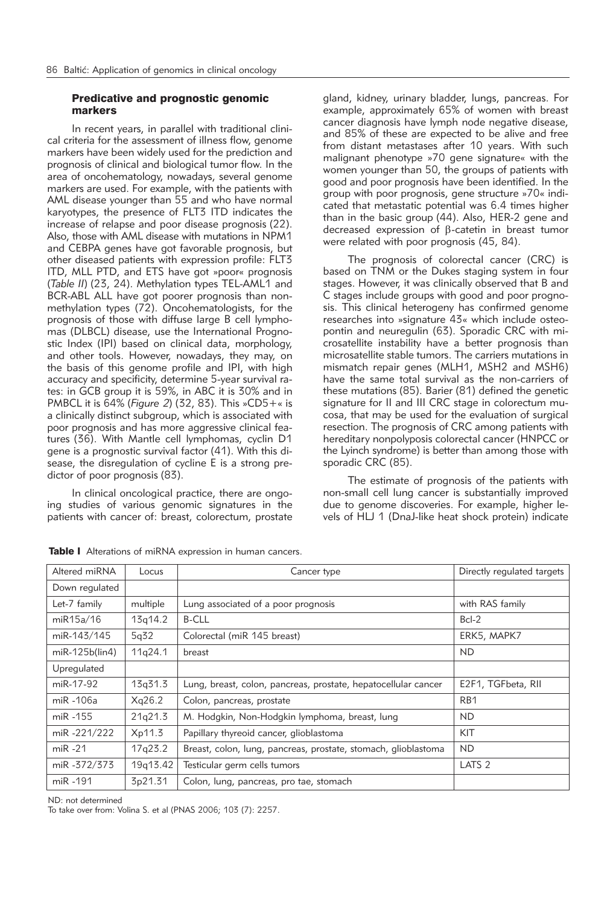#### Predicative and prognostic genomic markers

In recent years, in parallel with traditional clinical criteria for the assessment of illness flow, genome markers have been widely used for the prediction and prognosis of clinical and biological tumor flow. In the area of oncohematology, nowadays, several genome markers are used. For example, with the patients with AML disease younger than 55 and who have normal karyotypes, the presence of FLT3 ITD indicates the increase of relapse and poor disease prognosis (22). Also, those with AML disease with mutations in NPM1 and CEBPA genes have got favorable prognosis, but other diseased patients with expression profile: FLT3 ITD, MLL PTD, and ETS have got »poor« prognosis (*Table II*) (23, 24). Methylation types TEL-AML1 and BCR-ABL ALL have got poorer prognosis than nonmethylation types (72). Oncohematologists, for the prognosis of those with diffuse large B cell lymphomas (DLBCL) disease, use the International Prognostic Index (IPI) based on clinical data, morphology, and other tools. However, nowadays, they may, on the basis of this genome profile and IPI, with high accuracy and specificity, determine 5-year survival rates: in GCB group it is 59%, in ABC it is 30% and in PMBCL it is 64% (*Figure 2*) (32, 83). This »CD5+« is a clinically distinct subgroup, which is associated with poor prognosis and has more aggressive clinical features (36). With Mantle cell lymphomas, cyclin D1 gene is a prognostic survival factor (41). With this disease, the disregulation of cycline E is a strong predictor of poor prognosis (83).

In clinical oncological practice, there are ongoing studies of various genomic signatures in the patients with cancer of: breast, colorectum, prostate gland, kidney, urinary bladder, lungs, pancreas. For example, approximately 65% of women with breast cancer diagnosis have lymph node negative disease, and 85% of these are expected to be alive and free from distant metastases after 10 years. With such malignant phenotype »70 gene signature« with the women younger than 50, the groups of patients with good and poor prognosis have been identified. In the group with poor prognosis, gene structure »70« indicated that metastatic potential was 6.4 times higher than in the basic group (44). Also, HER-2 gene and decreased expression of b-catetin in breast tumor were related with poor prognosis (45, 84).

The prognosis of colorectal cancer (CRC) is based on TNM or the Dukes staging system in four stages. However, it was clinically observed that B and C stages include groups with good and poor prognosis. This clinical heterogeny has confirmed genome researches into »signature 43« which include osteopontin and neuregulin (63). Sporadic CRC with microsatellite instability have a better prognosis than microsatellite stable tumors. The carriers mutations in mismatch repair genes (MLH1, MSH2 and MSH6) have the same total survival as the non-carriers of these mutations (85). Barier (81) defined the genetic signature for II and III CRC stage in colorectum mucosa, that may be used for the evaluation of surgical resection. The prognosis of CRC among patients with hereditary nonpolyposis colorectal cancer (HNPCC or the Lyinch syndrome) is better than among those with sporadic CRC (85).

The estimate of prognosis of the patients with non-small cell lung cancer is substantially improved due to genome discoveries. For example, higher levels of HLJ 1 (DnaJ-like heat shock protein) indicate

| Altered miRNA    | Locus                | Cancer type                                                    | Directly regulated targets |
|------------------|----------------------|----------------------------------------------------------------|----------------------------|
| Down regulated   |                      |                                                                |                            |
| Let-7 family     | multiple             | Lung associated of a poor prognosis                            | with RAS family            |
| miR15a/16        | 13q14.2              | <b>B-CLL</b>                                                   | $Bcl-2$                    |
| miR-143/145      | 5q32                 | Colorectal (miR 145 breast)                                    | ERK5, MAPK7                |
| $miR-125b(lin4)$ | 11q24.1              | breast                                                         | <b>ND</b>                  |
| Upregulated      |                      |                                                                |                            |
| miR-17-92        | 13q31.3              | Lung, breast, colon, pancreas, prostate, hepatocellular cancer | E2F1, TGFbeta, RII         |
| miR -106a        | Xq26.2               | Colon, pancreas, prostate                                      | R <sub>B</sub> 1           |
| $m$ i $R - 155$  | 21q21.3              | M. Hodgkin, Non-Hodgkin lymphoma, breast, lung                 | ND.                        |
| miR -221/222     | Xp11.3               | Papillary thyreoid cancer, glioblastoma                        | KIT                        |
| $miR - 21$       | 17q23.2              | Breast, colon, lung, pancreas, prostate, stomach, glioblastoma | <b>ND</b>                  |
| miR -372/373     | 19q13.42             | Testicular germ cells tumors                                   | LATS <sub>2</sub>          |
| miR -191         | 3 <sub>p</sub> 21.31 | Colon, lung, pancreas, pro tae, stomach                        |                            |

Table I Alterations of miRNA expression in human cancers.

ND: not determined

To take over from: Volina S. et al (PNAS 2006; 103 (7): 2257.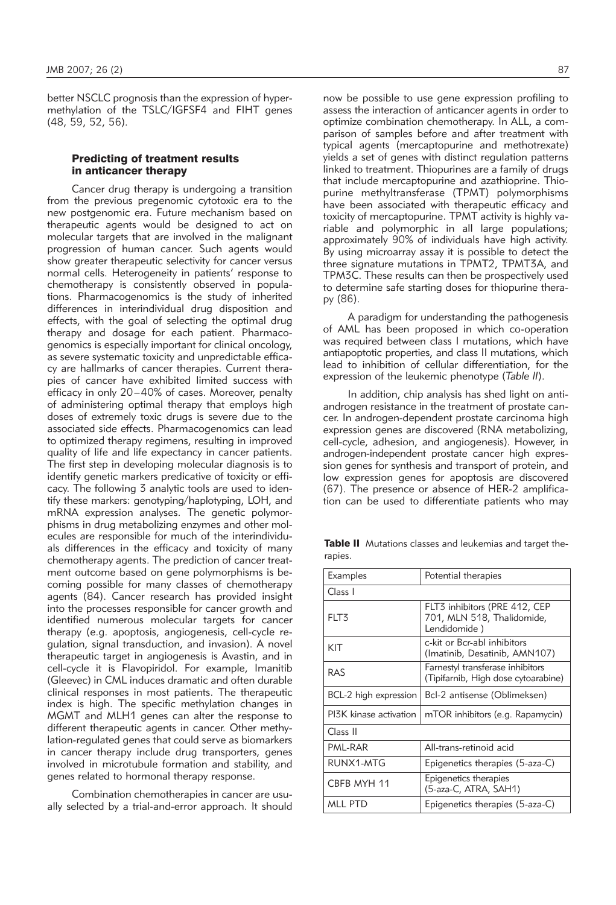better NSCLC prognosis than the expression of hypermethylation of the TSLC/IGFSF4 and FIHT genes (48, 59, 52, 56).

#### Predicting of treatment results in anticancer therapy

Cancer drug therapy is undergoing a transition from the previous pregenomic cytotoxic era to the new postgenomic era. Future mechanism based on therapeutic agents would be designed to act on molecular targets that are involved in the malignant progression of human cancer. Such agents would show greater therapeutic selectivity for cancer versus normal cells. Heterogeneity in patients' response to chemotherapy is consistently observed in populations. Pharmacogenomics is the study of inherited differences in interindividual drug disposition and effects, with the goal of selecting the optimal drug therapy and dosage for each patient. Pharmacogenomics is especially important for clinical oncology, as severe systematic toxicity and unpredictable efficacy are hallmarks of cancer therapies. Current therapies of cancer have exhibited limited success with efficacy in only 20–40% of cases. Moreover, penalty of administering optimal therapy that employs high doses of extremely toxic drugs is severe due to the associated side effects. Pharmacogenomics can lead to optimized therapy regimens, resulting in improved quality of life and life expectancy in cancer patients. The first step in developing molecular diagnosis is to identify genetic markers predicative of toxicity or efficacy. The following 3 analytic tools are used to identify these markers: genotyping/haplotyping, LOH, and mRNA expression analyses. The genetic polymorphisms in drug metabolizing enzymes and other molecules are responsible for much of the interindividuals differences in the efficacy and toxicity of many chemotherapy agents. The prediction of cancer treatment outcome based on gene polymorphisms is becoming possible for many classes of chemotherapy agents (84). Cancer research has provided insight into the processes responsible for cancer growth and identified numerous molecular targets for cancer therapy (e.g. apoptosis, angiogenesis, cell-cycle regulation, signal transduction, and invasion). A novel therapeutic target in angiogenesis is Avastin, and in cell-cycle it is Flavopiridol. For example, Imanitib (Gleevec) in CML induces dramatic and often durable clinical responses in most patients. The therapeutic index is high. The specific methylation changes in MGMT and MLH1 genes can alter the response to different therapeutic agents in cancer. Other methylation-regulated genes that could serve as biomarkers in cancer therapy include drug transporters, genes involved in microtubule formation and stability, and genes related to hormonal therapy response.

Combination chemotherapies in cancer are usually selected by a trial-and-error approach. It should now be possible to use gene expression profiling to assess the interaction of anticancer agents in order to optimize combination chemotherapy. In ALL, a comparison of samples before and after treatment with typical agents (mercaptopurine and methotrexate) yields a set of genes with distinct regulation patterns linked to treatment. Thiopurines are a family of drugs that include mercaptopurine and azathioprine. Thiopurine methyltransferase (TPMT) polymorphisms have been associated with therapeutic efficacy and toxicity of mercaptopurine. TPMT activity is highly variable and polymorphic in all large populations; approximately 90% of individuals have high activity. By using microarray assay it is possible to detect the three signature mutations in TPMT2, TPMT3A, and TPM3C. These results can then be prospectively used to determine safe starting doses for thiopurine therapy (86).

A paradigm for understanding the pathogenesis of AML has been proposed in which co-operation was required between class I mutations, which have antiapoptotic properties, and class II mutations, which lead to inhibition of cellular differentiation, for the expression of the leukemic phenotype (*Table lI*).

In addition, chip analysis has shed light on antiandrogen resistance in the treatment of prostate cancer. In androgen-dependent prostate carcinoma high expression genes are discovered (RNA metabolizing, cell-cycle, adhesion, and angiogenesis). However, in androgen-independent prostate cancer high expression genes for synthesis and transport of protein, and low expression genes for apoptosis are discovered (67). The presence or absence of HER-2 amplification can be used to differentiate patients who may

Table II Mutations classes and leukemias and target therapies.

| Examples               | Potential therapies                                                         |  |  |  |
|------------------------|-----------------------------------------------------------------------------|--|--|--|
| Class I                |                                                                             |  |  |  |
| FLT3                   | FLT3 inhibitors (PRE 412, CEP<br>701, MLN 518, Thalidomide,<br>Lendidomide) |  |  |  |
| KIT                    | c-kit or Bcr-abl inhibitors<br>(Imatinib, Desatinib, AMN107)                |  |  |  |
| <b>RAS</b>             | Farnestyl transferase inhibitors<br>(Tipifarnib, High dose cytoarabine)     |  |  |  |
| BCL-2 high expression  | Bcl-2 antisense (Oblimeksen)                                                |  |  |  |
| PI3K kinase activation | mTOR inhibitors (e.g. Rapamycin)                                            |  |  |  |
| Class II               |                                                                             |  |  |  |
| PML-RAR                | All-trans-retinoid acid                                                     |  |  |  |
| RUNX1-MTG              | Epigenetics therapies (5-aza-C)                                             |  |  |  |
| CBFB MYH 11            | Epigenetics therapies<br>(5-aza-C, ATRA, SAH1)                              |  |  |  |
| MLL PTD                | Epigenetics therapies (5-aza-C)                                             |  |  |  |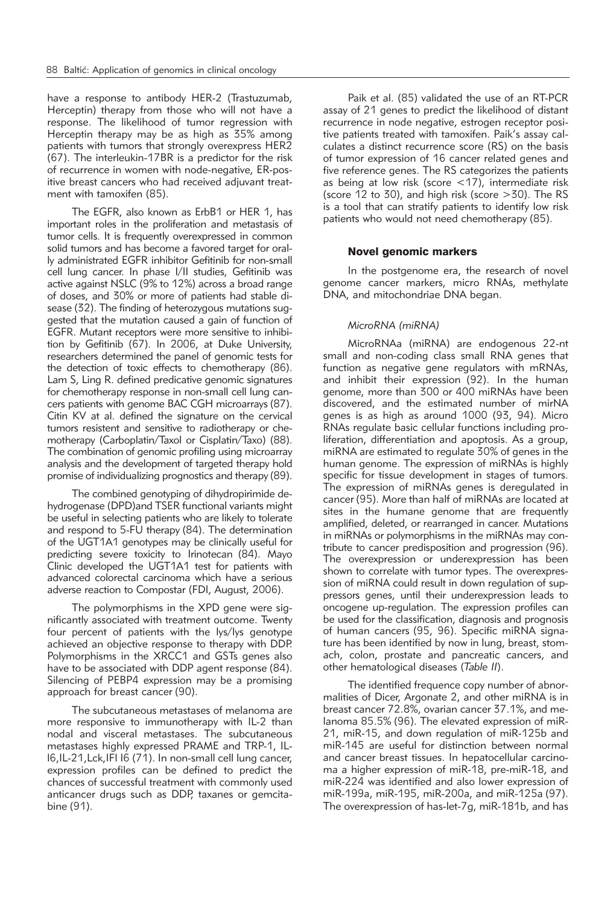have a response to antibody HER-2 (Trastuzumab, Herceptin) therapy from those who will not have a response. The likelihood of tumor regression with Herceptin therapy may be as high as 35% among patients with tumors that strongly overexpress HER2 (67). The interleukin-17BR is a predictor for the risk of recurrence in women with node-negative, ER-positive breast cancers who had received adjuvant treatment with tamoxifen (85).

The EGFR, also known as ErbB1 or HER 1, has important roles in the proliferation and metastasis of tumor cells. It is frequently overexpressed in common solid tumors and has become a favored target for orally administrated EGFR inhibitor Gefitinib for non-small cell lung cancer. In phase I/II studies, Gefitinib was active against NSLC (9% to 12%) across a broad range of doses, and 30% or more of patients had stable disease (32). The finding of heterozygous mutations suggested that the mutation caused a gain of function of EGFR. Mutant receptors were more sensitive to inhibition by Gefitinib (67). In 2006, at Duke University, researchers determined the panel of genomic tests for the detection of toxic effects to chemotherapy (86). Lam S, Ling R. defined predicative genomic signatures for chemotherapy response in non-small cell lung cancers patients with genome BAC CGH microarrays (87). Citin KV at al. defined the signature on the cervical tumors resistent and sensitive to radiotherapy or chemotherapy (Carboplatin/Taxol or Cisplatin/Taxo) (88). The combination of genomic profiling using microarray analysis and the development of targeted therapy hold promise of individualizing prognostics and therapy (89).

The combined genotyping of dihydropirimide dehydrogenase (DPD)and TSER functional variants might be useful in selecting patients who are likely to tolerate and respond to 5-FU therapy (84). The determination of the UGT1A1 genotypes may be clinically useful for predicting severe toxicity to Irinotecan (84). Mayo Clinic developed the UGT1A1 test for patients with advanced colorectal carcinoma which have a serious adverse reaction to Compostar (FDI, August, 2006).

The polymorphisms in the XPD gene were significantly associated with treatment outcome. Twenty four percent of patients with the lys/lys genotype achieved an objective response to therapy with DDP. Polymorphisms in the XRCC1 and GSTs genes also have to be associated with DDP agent response (84). Silencing of PEBP4 expression may be a promising approach for breast cancer (90).

The subcutaneous metastases of melanoma are more responsive to immunotherapy with IL-2 than nodal and visceral metastases. The subcutaneous metastases highly expressed PRAME and TRP-1, ILl6,IL-21,Lck,IFI l6 (71). In non-small cell lung cancer, expression profiles can be defined to predict the chances of successful treatment with commonly used anticancer drugs such as DDP, taxanes or gemcitabine (91).

Paik et al. (85) validated the use of an RT-PCR assay of 21 genes to predict the likelihood of distant recurrence in node negative, estrogen receptor positive patients treated with tamoxifen. Paik's assay calculates a distinct recurrence score (RS) on the basis of tumor expression of 16 cancer related genes and five reference genes. The RS categorizes the patients as being at low risk (score <17), intermediate risk (score 12 to 30), and high risk (score >30). The RS is a tool that can stratify patients to identify low risk patients who would not need chemotherapy (85).

#### Novel genomic markers

In the postgenome era, the research of novel genome cancer markers, micro RNAs, methylate DNA, and mitochondriae DNA began.

#### *MicroRNA (miRNA)*

MicroRNAa (miRNA) are endogenous 22-nt small and non-coding class small RNA genes that function as negative gene regulators with mRNAs, and inhibit their expression (92). In the human genome, more than 300 or 400 miRNAs have been discovered, and the estimated number of mirNA genes is as high as around 1000 (93, 94). Micro RNAs regulate basic cellular functions including proliferation, differentiation and apoptosis. As a group, miRNA are estimated to regulate 30% of genes in the human genome. The expression of miRNAs is highly specific for tissue development in stages of tumors. The expression of miRNAs genes is deregulated in cancer (95). More than half of miRNAs are located at sites in the humane genome that are frequently amplified, deleted, or rearranged in cancer. Mutations in miRNAs or polymorphisms in the miRNAs may contribute to cancer predisposition and progression (96). The overexpression or underexpression has been shown to correlate with tumor types. The overexpression of miRNA could result in down regulation of suppressors genes, until their underexpression leads to oncogene up-regulation. The expression profiles can be used for the classification, diagnosis and prognosis of human cancers (95, 96). Specific miRNA signature has been identified by now in lung, breast, stomach, colon, prostate and pancreatic cancers, and other hematological diseases (*Table II*).

The identified frequence copy number of abnormalities of Dicer, Argonate 2, and other miRNA is in breast cancer 72.8%, ovarian cancer 37.1%, and melanoma 85.5% (96). The elevated expression of miR-21, miR-15, and down regulation of miR-125b and miR-145 are useful for distinction between normal and cancer breast tissues. In hepatocellular carcinoma a higher expression of miR-18, pre-miR-18, and miR-224 was identified and also lower expression of miR-199a, miR-195, miR-200a, and miR-125a (97). The overexpression of has-let-7g, miR-181b, and has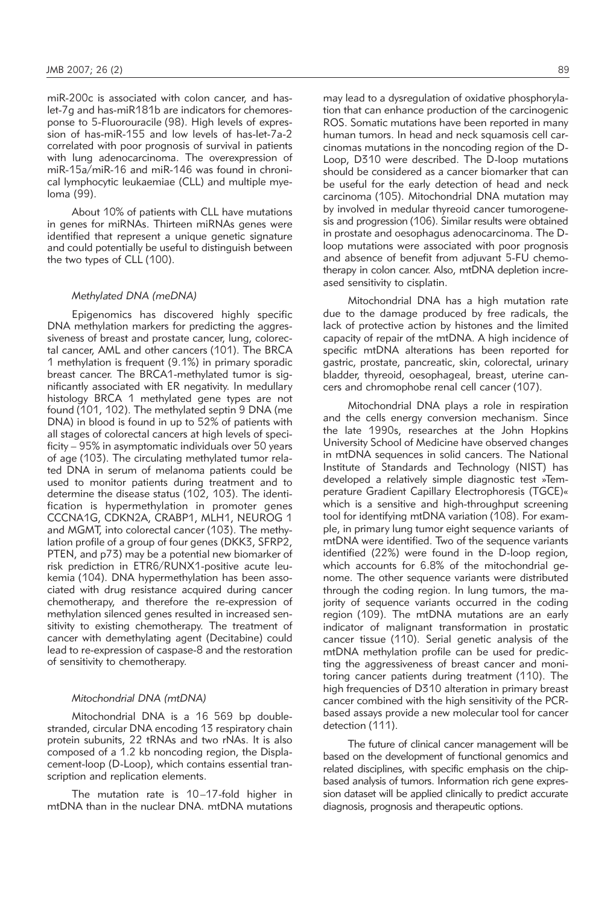miR-200c is associated with colon cancer, and haslet-7g and has-miR181b are indicators for chemoresponse to 5-Fluorouracile (98). High levels of expression of has-miR-155 and low levels of has-let-7a-2 correlated with poor prognosis of survival in patients with lung adenocarcinoma. The overexpression of miR-15a/miR-16 and miR-146 was found in chronical lymphocytic leukaemiae (CLL) and multiple myeloma (99).

About 10% of patients with CLL have mutations in genes for miRNAs. Thirteen miRNAs genes were identified that represent a unique genetic signature and could potentially be useful to distinguish between the two types of CLL (100).

#### *Methylated DNA (meDNA)*

Epigenomics has discovered highly specific DNA methylation markers for predicting the aggressiveness of breast and prostate cancer, lung, colorectal cancer, AML and other cancers (101). The BRCA 1 methylation is frequent (9.1%) in primary sporadic breast cancer. The BRCA1-methylated tumor is significantly associated with ER negativity. In medullary histology BRCA 1 methylated gene types are not found (101, 102). The methylated septin 9 DNA (me DNA) in blood is found in up to 52% of patients with all stages of colorectal cancers at high levels of specificity – 95% in asymptomatic individuals over 50 years of age (103). The circulating methylated tumor related DNA in serum of melanoma patients could be used to monitor patients during treatment and to determine the disease status (102, 103). The identification is hypermethylation in promoter genes CCCNA1G, CDKN2A, CRABP1, MLH1, NEUROG 1 and MGMT, into colorectal cancer (103). The methylation profile of a group of four genes (DKK3, SFRP2, PTEN, and p73) may be a potential new biomarker of risk prediction in ETR6/RUNX1-positive acute leukemia (104). DNA hypermethylation has been associated with drug resistance acquired during cancer chemotherapy, and therefore the re-expression of methylation silenced genes resulted in increased sensitivity to existing chemotherapy. The treatment of cancer with demethylating agent (Decitabine) could lead to re-expression of caspase-8 and the restoration of sensitivity to chemotherapy.

#### *Mitochondrial DNA (mtDNA)*

Mitochondrial DNA is a 16 569 bp doublestranded, circular DNA encoding 13 respiratory chain protein subunits, 22 tRNAs and two rNAs. It is also composed of a 1.2 kb noncoding region, the Displacement-loop (D-Loop), which contains essential transcription and replication elements.

The mutation rate is 10–17-fold higher in mtDNA than in the nuclear DNA. mtDNA mutations may lead to a dysregulation of oxidative phosphorylation that can enhance production of the carcinogenic ROS. Somatic mutations have been reported in many human tumors. In head and neck squamosis cell carcinomas mutations in the noncoding region of the D-Loop, D310 were described. The D-loop mutations should be considered as a cancer biomarker that can be useful for the early detection of head and neck carcinoma (105). Mitochondrial DNA mutation may by involved in medular thyreoid cancer tumorogenesis and progression (106). Similar results were obtained in prostate and oesophagus adenocarcinoma. The Dloop mutations were associated with poor prognosis and absence of benefit from adjuvant 5-FU chemotherapy in colon cancer. Also, mtDNA depletion increased sensitivity to cisplatin.

Mitochondrial DNA has a high mutation rate due to the damage produced by free radicals, the lack of protective action by histones and the limited capacity of repair of the mtDNA. A high incidence of specific mtDNA alterations has been reported for gastric, prostate, pancreatic, skin, colorectal, urinary bladder, thyreoid, oesophageal, breast, uterine cancers and chromophobe renal cell cancer (107).

Mitochondrial DNA plays a role in respiration and the cells energy conversion mechanism. Since the late 1990s, researches at the John Hopkins University School of Medicine have observed changes in mtDNA sequences in solid cancers. The National Institute of Standards and Technology (NIST) has developed a relatively simple diagnostic test »Temperature Gradient Capillary Electrophoresis (TGCE)« which is a sensitive and high-throughput screening tool for identifying mtDNA variation (108). For example, in primary lung tumor eight sequence variants of mtDNA were identified. Two of the sequence variants identified (22%) were found in the D-loop region, which accounts for 6.8% of the mitochondrial genome. The other sequence variants were distributed through the coding region. In lung tumors, the majority of sequence variants occurred in the coding region (109). The mtDNA mutations are an early indicator of malignant transformation in prostatic cancer tissue (110). Serial genetic analysis of the mtDNA methylation profile can be used for predicting the aggressiveness of breast cancer and monitoring cancer patients during treatment (110). The high frequencies of D310 alteration in primary breast cancer combined with the high sensitivity of the PCRbased assays provide a new molecular tool for cancer detection (111).

The future of clinical cancer management will be based on the development of functional genomics and related disciplines, with specific emphasis on the chipbased analysis of tumors. Information rich gene expression dataset will be applied clinically to predict accurate diagnosis, prognosis and therapeutic options.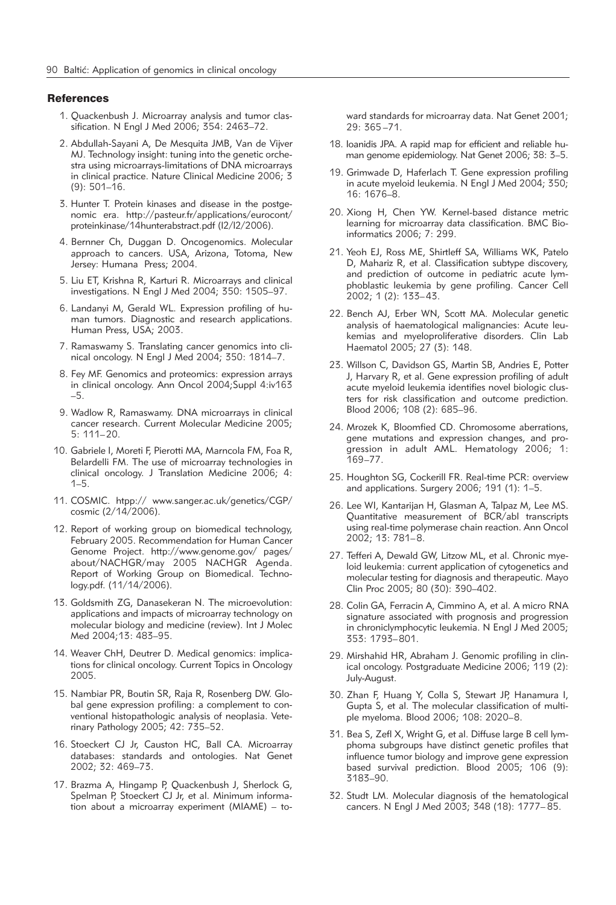#### **References**

- 1. Quackenbush J. Microarray analysis and tumor classification. N Engl J Med 2006; 354: 2463–72.
- 2. Abdullah-Sayani A, De Mesquita JMB, Van de Vijver MJ. Technology insight: tuning into the genetic orchestra using microarrays-limitations of DNA microarrays in clinical practice. Nature Clinical Medicine 2006; 3 (9): 501–16.
- 3. Hunter T. Protein kinases and disease in the postgenomic era. http://pasteur.fr/applications/eurocont/ proteinkinase/14hunterabstract.pdf (l2/l2/2006).
- 4. Bernner Ch, Duggan D. Oncogenomics. Molecular approach to cancers. USA, Arizona, Totoma, New Jersey: Humana Press; 2004.
- 5. Liu ET, Krishna R, Karturi R. Microarrays and clinical investigations. N Engl J Med 2004; 350: 1505–97.
- 6. Landanyi M, Gerald WL. Expression profiling of human tumors. Diagnostic and research applications. Human Press, USA; 2003.
- 7. Ramaswamy S. Translating cancer genomics into clinical oncology. N Engl J Med 2004; 350: 1814–7.
- 8. Fey MF. Genomics and proteomics: expression arrays in clinical oncology. Ann Oncol 2004;Suppl 4:iv163 –5.
- 9. Wadlow R, Ramaswamy. DNA microarrays in clinical cancer research. Current Molecular Medicine 2005; 5: 111–20.
- 10. Gabriele I, Moreti F, Pierotti MA, Marncola FM, Foa R, Belardelli FM. The use of microarray technologies in clinical oncology. J Translation Medicine 2006; 4: 1–5.
- 11. COSMIC. htpp:// www.sanger.ac.uk/genetics/CGP/ cosmic (2/14/2006).
- 12. Report of working group on biomedical technology, February 2005. Recommendation for Human Cancer Genome Project. http://www.genome.gov/ pages/ about/NACHGR/may 2005 NACHGR Agenda. Report of Working Group on Biomedical. Technology.pdf. (11/14/2006).
- 13. Goldsmith ZG, Danasekeran N. The microevolution: applications and impacts of microarray technology on molecular biology and medicine (review). Int J Molec Med 2004;13: 483–95.
- 14. Weaver ChH, Deutrer D. Medical genomics: implications for clinical oncology. Current Topics in Oncology 2005.
- 15. Nambiar PR, Boutin SR, Raja R, Rosenberg DW. Global gene expression profiling: a complement to conventional histopathologic analysis of neoplasia. Veterinary Pathology 2005; 42: 735–52.
- 16. Stoeckert CJ Jr, Causton HC, Ball CA. Microarray databases: standards and ontologies. Nat Genet 2002; 32: 469–73.
- 17. Brazma A, Hingamp P, Quackenbush J, Sherlock G, Spelman P, Stoeckert CJ Jr, et al. Minimum information about a microarray experiment (MIAME) – to-

ward standards for microarray data. Nat Genet 2001; 29: 365 –71.

- 18. Ioanidis JPA. A rapid map for efficient and reliable human genome epidemiology. Nat Genet 2006; 38: 3–5.
- 19. Grimwade D, Haferlach T. Gene expression profiling in acute myeloid leukemia. N Engl J Med 2004; 350; 16: 1676–8.
- 20. Xiong H, Chen YW. Kernel-based distance metric learning for microarray data classification. BMC Bioinformatics 2006; 7: 299.
- 21. Yeoh EJ, Ross ME, Shirtleff SA, Williams WK, Patelo D, Mahariz R, et al. Classification subtype discovery, and prediction of outcome in pediatric acute lymphoblastic leukemia by gene profiling. Cancer Cell 2002; 1 (2): 133–43.
- 22. Bench AJ, Erber WN, Scott MA. Molecular genetic analysis of haematological malignancies: Acute leukemias and myeloproliferative disorders. Clin Lab Haematol 2005; 27 (3): 148.
- 23. Willson C, Davidson GS, Martin SB, Andries E, Potter J, Harvary R, et al. Gene expression profiling of adult acute myeloid leukemia identifies novel biologic clusters for risk classification and outcome prediction. Blood 2006; 108 (2): 685–96.
- 24. Mrozek K, Bloomfied CD. Chromosome aberrations, gene mutations and expression changes, and progression in adult AML. Hematology 2006; 1: 169–77.
- 25. Houghton SG, Cockerill FR. Real-time PCR: overview and applications. Surgery 2006; 191 (1): 1–5.
- 26. Lee WI, Kantarijan H, Glasman A, Talpaz M, Lee MS. Quantitative measurement of BCR/abl transcripts using real-time polymerase chain reaction. Ann Oncol 2002; 13: 781–8.
- 27. Tefferi A, Dewald GW, Litzow ML, et al. Chronic myeloid leukemia: current application of cytogenetics and molecular testing for diagnosis and therapeutic. Mayo Clin Proc 2005; 80 (30): 390–402.
- 28. Colin GA, Ferracin A, Cimmino A, et al. A micro RNA signature associated with prognosis and progression in chroniclymphocytic leukemia. N Engl J Med 2005; 353: 1793–801.
- 29. Mirshahid HR, Abraham J. Genomic profiling in clinical oncology. Postgraduate Medicine 2006; 119 (2): July-August.
- 30. Zhan F, Huang Y, Colla S, Stewart JP, Hanamura I, Gupta S, et al. The molecular classification of multiple myeloma. Blood 2006; 108: 2020–8.
- 31. Bea S, Zefl X, Wright G, et al. Diffuse large B cell lymphoma subgroups have distinct genetic profiles that influence tumor biology and improve gene expression based survival prediction. Blood 2005; 106 (9): 3183–90.
- 32. Studt LM. Molecular diagnosis of the hematological cancers. N Engl J Med 2003; 348 (18): 1777– 85.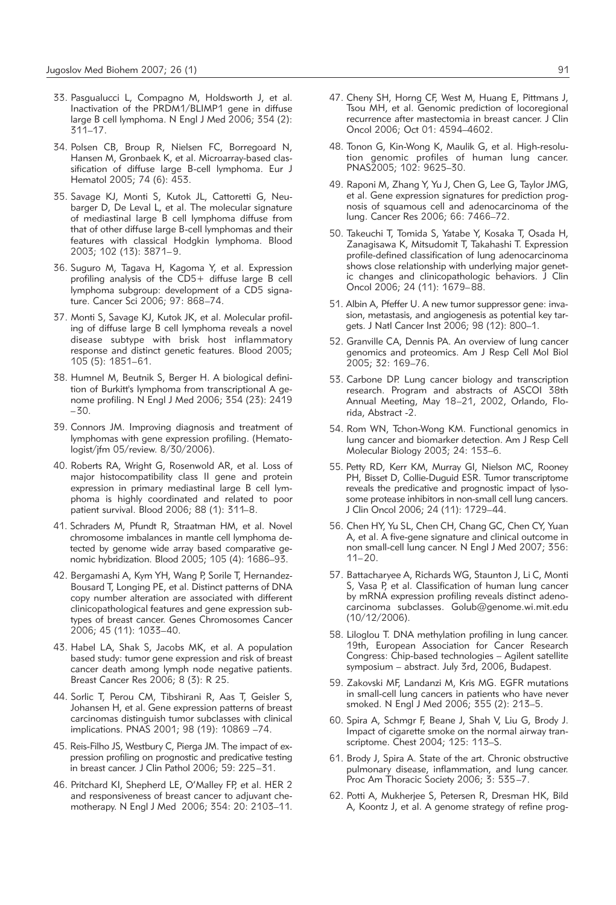- 33. Pasgualucci L, Compagno M, Holdsworth J, et al. Inactivation of the PRDM1/BLIMP1 gene in diffuse large B cell lymphoma. N Engl J Med 2006; 354 (2): 311–17.
- 34. Polsen CB, Broup R, Nielsen FC, Borregoard N, Hansen M, Gronbaek K, et al. Microarray-based classification of diffuse large B-cell lymphoma. Eur J Hematol 2005; 74 (6): 453.
- 35. Savage KJ, Monti S, Kutok JL, Cattoretti G, Neubarger D, De Leval L, et al. The molecular signature of mediastinal large B cell lymphoma diffuse from that of other diffuse large B-cell lymphomas and their features with classical Hodgkin lymphoma. Blood 2003; 102 (13): 3871–9.
- 36. Suguro M, Tagava H, Kagoma Y, et al. Expression profiling analysis of the CD5+ diffuse large B cell lymphoma subgroup: development of a CD5 signature. Cancer Sci 2006; 97: 868–74.
- 37. Monti S, Savage KJ, Kutok JK, et al. Molecular profiling of diffuse large B cell lymphoma reveals a novel disease subtype with brisk host inflammatory response and distinct genetic features. Blood 2005; 105 (5): 1851–61.
- 38. Humnel M, Beutnik S, Berger H. A biological definition of Burkitt's lymphoma from transcriptional A genome profiling. N Engl J Med 2006; 354 (23): 2419 –30.
- 39. Connors JM. Improving diagnosis and treatment of lymphomas with gene expression profiling. (Hematologist/jfm 05/review. 8/30/2006).
- 40. Roberts RA, Wright G, Rosenwold AR, et al. Loss of major histocompatibility class II gene and protein expression in primary mediastinal large B cell lymphoma is highly coordinated and related to poor patient survival. Blood 2006; 88 (1): 311–8.
- 41. Schraders M, Pfundt R, Straatman HM, et al. Novel chromosome imbalances in mantle cell lymphoma detected by genome wide array based comparative genomic hybridization. Blood 2005; 105 (4): 1686–93.
- 42. Bergamashi A, Kym YH, Wang P, Sorile T, Hernandez-Bousard T, Longing PE, et al. Distinct patterns of DNA copy number alteration are associated with different clinicopathological features and gene expression subtypes of breast cancer. Genes Chromosomes Cancer 2006; 45 (11): 1033–40.
- 43. Habel LA, Shak S, Jacobs MK, et al. A population based study: tumor gene expression and risk of breast cancer death among lymph node negative patients. Breast Cancer Res 2006; 8 (3): R 25.
- 44. Sorlic T, Perou CM, Tibshirani R, Aas T, Geisler S, Johansen H, et al. Gene expression patterns of breast carcinomas distinguish tumor subclasses with clinical implications. PNAS 2001; 98 (19): 10869 –74.
- 45. Reis-Filho JS, Westbury C, Pierga JM. The impact of expression profiling on prognostic and predicative testing in breast cancer. J Clin Pathol 2006; 59: 225–31.
- 46. Pritchard KI, Shepherd LE, O'Malley FP, et al. HER 2 and responsiveness of breast cancer to adjuvant chemotherapy. N Engl J Med 2006; 354: 20: 2103–11.
- 47. Cheny SH, Horng CF, West M, Huang E, Pittmans J, Tsou MH, et al. Genomic prediction of locoregional recurrence after mastectomia in breast cancer. J Clin Oncol 2006; Oct 01: 4594–4602.
- 48. Tonon G, Kin-Wong K, Maulik G, et al. High-resolution genomic profiles of human lung cancer. PNAS2005; 102: 9625–30.
- 49. Raponi M, Zhang Y, Yu J, Chen G, Lee G, Taylor JMG, et al. Gene expression signatures for prediction prognosis of squamous cell and adenocarcinoma of the lung. Cancer Res 2006; 66: 7466–72.
- 50. Takeuchi T, Tomida S, Yatabe Y, Kosaka T, Osada H, Zanagisawa K, Mitsudomit T, Takahashi T. Expression profile-defined classification of lung adenocarcinoma shows close relationship with underlying major genetic changes and clinicopathologic behaviors. J Clin Oncol 2006; 24 (11): 1679–88.
- 51. Albin A, Pfeffer U. A new tumor suppressor gene: invasion, metastasis, and angiogenesis as potential key targets. J Natl Cancer Inst 2006; 98 (12): 800–1.
- 52. Granville CA, Dennis PA. An overview of lung cancer genomics and proteomics. Am J Resp Cell Mol Biol 2005; 32: 169–76.
- 53. Carbone DP. Lung cancer biology and transcription research. Program and abstracts of ASCOI 38th Annual Meeting, May 18–21, 2002, Orlando, Florida, Abstract -2.
- 54. Rom WN, Tchon-Wong KM. Functional genomics in lung cancer and biomarker detection. Am J Resp Cell Molecular Biology 2003; 24: 153–6.
- 55. Petty RD, Kerr KM, Murray GI, Nielson MC, Rooney PH, Bisset D, Collie-Duguid ESR. Tumor transcriptome reveals the predicative and prognostic impact of lysosome protease inhibitors in non-small cell lung cancers. J Clin Oncol 2006; 24 (11): 1729–44.
- 56. Chen HY, Yu SL, Chen CH, Chang GC, Chen CY, Yuan A, et al. A five-gene signature and clinical outcome in non small-cell lung cancer. N Engl J Med 2007; 356: 11–20.
- 57. Battacharyee A, Richards WG, Staunton J, Li C, Monti S, Vasa P, et al. Classification of human lung cancer by mRNA expression profiling reveals distinct adenocarcinoma subclasses. Golub@genome.wi.mit.edu (10/12/2006).
- 58. Liloglou T. DNA methylation profiling in lung cancer. 19th, European Association for Cancer Research Congress: Chip-based technologies – Agilent satellite symposium – abstract. July 3rd, 2006, Budapest.
- 59. Zakovski MF, Landanzi M, Kris MG. EGFR mutations in small-cell lung cancers in patients who have never smoked. N Engl J Med 2006; 355 (2): 213–5.
- 60. Spira A, Schmgr F, Beane J, Shah V, Liu G, Brody J. Impact of cigarette smoke on the normal airway transcriptome. Chest 2004; 125: 113–S.
- 61. Brody J, Spira A. State of the art. Chronic obstructive pulmonary disease, inflammation, and lung cancer. Proc Am Thoracic Society 2006; 3: 535–7.
- 62. Potti A, Mukherjee S, Petersen R, Dresman HK, Bild A, Koontz J, et al. A genome strategy of refine prog-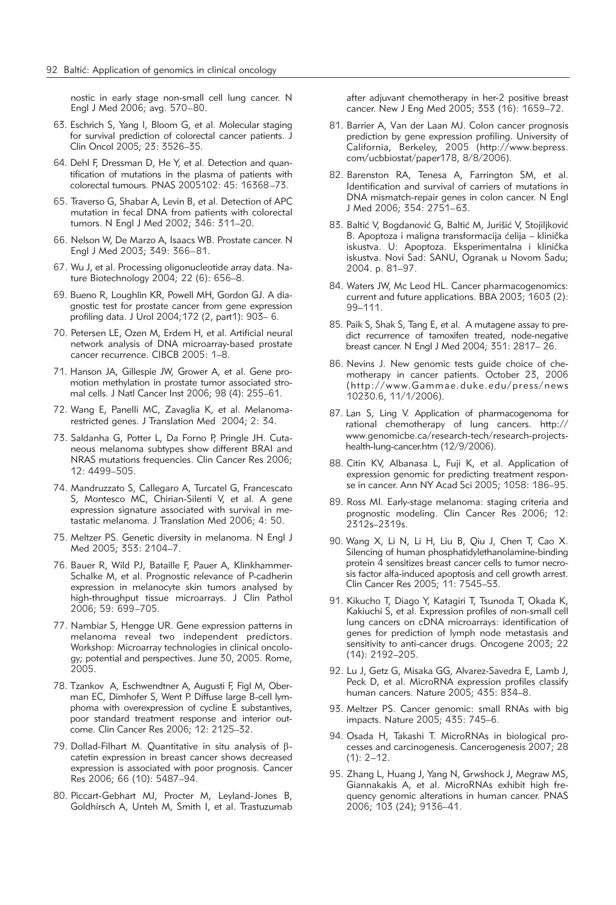nostic in early stage non-small cell lung cancer. N Engl J Med 2006; avg. 570–80.

- 63. Eschrich S, Yang I, Bloom G, et al. Molecular staging for survival prediction of colorectal cancer patients. J Clin Oncol 2005; 23: 3526–35.
- 64. Dehl F, Dressman D, He Y, et al. Detection and quantification of mutations in the plasma of patients with colorectal tumours. PNAS 2005102: 45: 16368–73.
- 65. Traverso G, Shabar A, Levin B, et al. Detection of APC mutation in fecal DNA from patients with colorectal tumors. N Engl J Med 2002; 346: 311–20.
- 66. Nelson W, De Marzo A, Isaacs WB. Prostate cancer. N Engl J Med 2003; 349: 366–81.
- 67. Wu J, et al. Processing oligonucleotide array data. Nature Biotechnology 2004; 22 (6): 656–8.
- 69. Bueno R, Loughlin KR, Powell MH, Gordon GJ. A diagnostic test for prostate cancer from gene expression profiling data. J Urol 2004;172 (2, part1): 903– 6.
- 70. Petersen LE, Ozen M, Erdem H, et al. Artificial neural network analysis of DNA microarray-based prostate cancer recurrence. CIBCB 2005: 1–8.
- 71. Hanson JA, Gillespie JW, Grower A, et al. Gene promotion methylation in prostate tumor associated stromal cells. J Natl Cancer Inst 2006; 98 (4): 255–61.
- 72. Wang E, Panelli MC, Zavaglia K, et al. Melanomarestricted genes. J Translation Med 2004; 2: 34.
- 73. Saldanha G, Potter L, Da Forno P, Pringle JH. Cutaneous melanoma subtypes show different BRAI and NRAS mutations frequencies. Clin Cancer Res 2006; 12: 4499–505.
- 74. Mandruzzato S, Callegaro A, Turcatel G, Francescato S, Montesco MC, Chirian-Silenti V, et al. A gene expression signature associated with survival in metastatic melanoma. J Translation Med 2006; 4: 50.
- 75. Meltzer PS. Genetic diversity in melanoma. N Engl J Med 2005; 353: 2104–7.
- 76. Bauer R, Wild PJ, Bataille F, Pauer A, Klinkhammer-Schalke M, et al. Prognostic relevance of P-cadherin expression in melanocyte skin tumors analysed by high-throughput tissue microarrays. J Clin Pathol 2006; 59: 699–705.
- 77. Nambiar S, Hengge UR. Gene expression patterns in melanoma reveal two independent predictors. Workshop: Microarray technologies in clinical oncology; potential and perspectives. June 30, 2005. Rome, 2005.
- 78. Tzankov A, Eschwendtner A, Augusti F, Figl M, Oberman EC, Dimhofer S, Went P. Diffuse large B-cell lymphoma with overexpression of cycline E substantives, poor standard treatment response and interior outcome. Clin Cancer Res 2006; 12: 2125–32.
- 79. Dollad-Filhart M. Quantitative in situ analysis of  $\beta$ catetin expression in breast cancer shows decreased expression is associated with poor prognosis. Cancer Res 2006; 66 (10): 5487–94.
- 80. Piccart-Gebhart MJ, Procter M, Leyland-Jones B, Goldhirsch A, Unteh M, Smith I, et al. Trastuzumab

after adjuvant chemotherapy in her-2 positive breast cancer. New J Eng Med 2005; 353 (16): 1659–72.

- 81. Barrier A, Van der Laan MJ. Colon cancer prognosis prediction by gene expression profiling. University of California, Berkeley, 2005 (http://www.bepress. com/ucbbiostat/paper178, 8/8/2006).
- 82. Barenston RA, Tenesa A, Farrington SM, et al. Identification and survival of carriers of mutations in DNA mismatch-repair genes in colon cancer. N Engl J Med 2006; 354: 2751–63.
- 83. Baltić V, Bogdanović G, Baltić M, Jurišić V, Stojiljković B. Apoptoza i maligna transformacija ćelija – klinička iskustva. U: Apoptoza. Eksperimentalna i klinička iskustva. Novi Sad: SANU, Ogranak u Novom Sadu; 2004. p. 81–97.
- 84. Waters JW, Mc Leod HL. Cancer pharmacogenomics: current and future applications. BBA 2003; 1603 (2): 99–111.
- 85. Paik S, Shak S, Tang E, et al. A mutagene assay to predict recurrence of tamoxifen treated, node-negative breast cancer. N Engl J Med 2004; 351: 2817– 26.
- 86. Nevins J. New genomic tests guide choice of chemotherapy in cancer patients. October 23, 2006 (http://www.Gammae.duke.edu/press/news 10230.6, 11/1/2006).
- 87. Lan S, Ling V. Application of pharmacogenoma for rational chemotherapy of lung cancers. http:// www.genomicbe.ca/research-tech/research-projectshealth-lung-cancer.htm (12/9/2006).
- 88. Citin KV, Albanasa L, Fuji K, et al. Application of expression genomic for predicting treatment response in cancer. Ann NY Acad Sci 2005; 1058: 186–95.
- 89. Ross MI. Early-stage melanoma: staging criteria and prognostic modeling. Clin Cancer Res 2006; 12: 2312s–2319s.
- 90. Wang X, Li N, Li H, Liu B, Qiu J, Chen T, Cao X. Silencing of human phosphatidylethanolamine-binding protein 4 sensitizes breast cancer cells to tumor necrosis factor alfa-induced apoptosis and cell growth arrest. Clin Cancer Res 2005; 11: 7545–53.
- 91. Kikucho T, Diago Y, Katagiri T, Tsunoda T, Okada K, Kakiuchi S, et al. Expression profiles of non-small cell lung cancers on cDNA microarrays: identification of genes for prediction of lymph node metastasis and sensitivity to anti-cancer drugs. Oncogene 2003; 22 (14): 2192–205.
- 92. Lu J, Getz G, Misaka GG, Alvarez-Savedra E, Lamb J, Peck D, et al. MicroRNA expression profiles classify human cancers. Nature 2005; 435: 834–8.
- 93. Meltzer PS. Cancer genomic: small RNAs with big impacts. Nature 2005; 435: 745–6.
- 94. Osada H, Takashi T. MicroRNAs in biological processes and carcinogenesis. Cancerogenesis 2007; 28 (1): 2–12.
- 95. Zhang L, Huang J, Yang N, Grwshock J, Megraw MS, Giannakakis A, et al. MicroRNAs exhibit high frequency genomic alterations in human cancer. PNAS 2006; 103 (24); 9136–41.